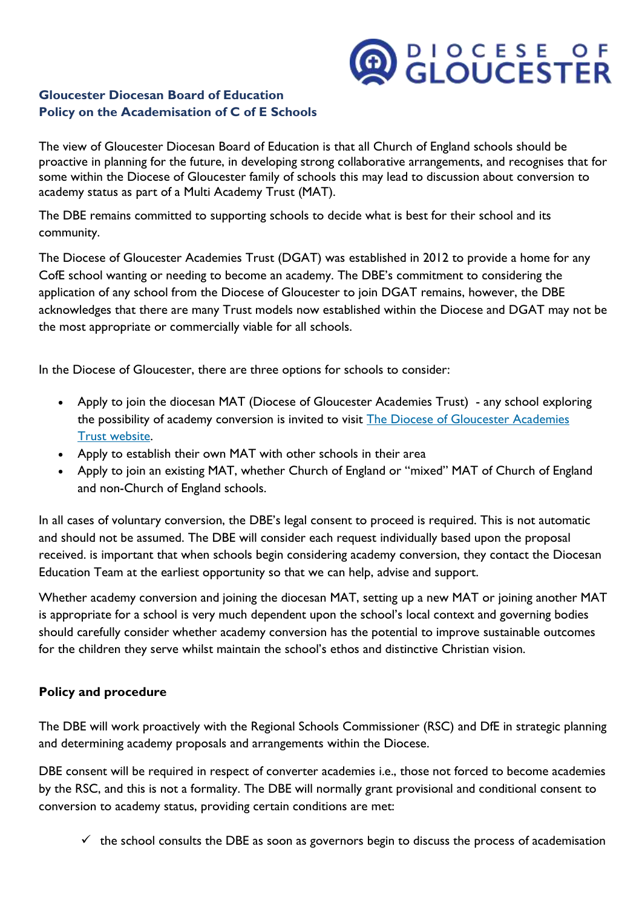# **ADDOCESE OF**

### **Gloucester Diocesan Board of Education Policy on the Academisation of C of E Schools**

The view of Gloucester Diocesan Board of Education is that all Church of England schools should be proactive in planning for the future, in developing strong collaborative arrangements, and recognises that for some within the Diocese of Gloucester family of schools this may lead to discussion about conversion to academy status as part of a Multi Academy Trust (MAT).

The DBE remains committed to supporting schools to decide what is best for their school and its community.

The Diocese of Gloucester Academies Trust (DGAT) was established in 2012 to provide a home for any CofE school wanting or needing to become an academy. The DBE's commitment to considering the application of any school from the Diocese of Gloucester to join DGAT remains, however, the DBE acknowledges that there are many Trust models now established within the Diocese and DGAT may not be the most appropriate or commercially viable for all schools.

In the Diocese of Gloucester, there are three options for schools to consider:

- Apply to join the diocesan MAT (Diocese of Gloucester Academies Trust) any school exploring the possibility of academy conversion is invited to visit The Diocese of Gloucester Academies Trust [website.](http://dgat.org.uk/)
- Apply to establish their own MAT with other schools in their area
- Apply to join an existing MAT, whether Church of England or "mixed" MAT of Church of England and non-Church of England schools.

In all cases of voluntary conversion, the DBE's legal consent to proceed is required. This is not automatic and should not be assumed. The DBE will consider each request individually based upon the proposal received. is important that when schools begin considering academy conversion, they contact the Diocesan Education Team at the earliest opportunity so that we can help, advise and support.

Whether academy conversion and joining the diocesan MAT, setting up a new MAT or joining another MAT is appropriate for a school is very much dependent upon the school's local context and governing bodies should carefully consider whether academy conversion has the potential to improve sustainable outcomes for the children they serve whilst maintain the school's ethos and distinctive Christian vision.

### **Policy and procedure**

The DBE will work proactively with the Regional Schools Commissioner (RSC) and DfE in strategic planning and determining academy proposals and arrangements within the Diocese.

DBE consent will be required in respect of converter academies i.e., those not forced to become academies by the RSC, and this is not a formality. The DBE will normally grant provisional and conditional consent to conversion to academy status, providing certain conditions are met:

 $\checkmark$  the school consults the DBE as soon as governors begin to discuss the process of academisation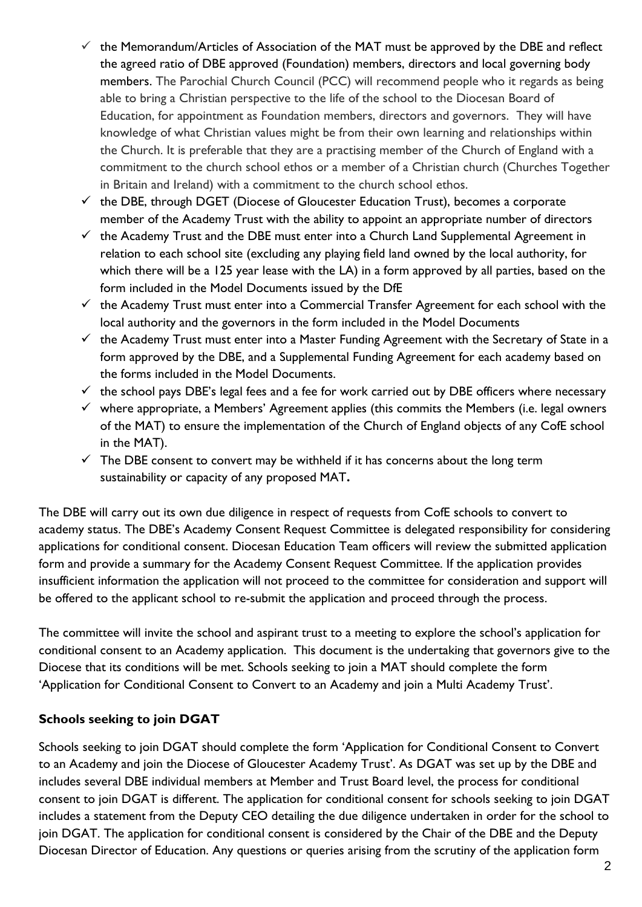- $\checkmark$  the Memorandum/Articles of Association of the MAT must be approved by the DBE and reflect the agreed ratio of DBE approved (Foundation) members, directors and local governing body members. The Parochial Church Council (PCC) will recommend people who it regards as being able to bring a Christian perspective to the life of the school to the Diocesan Board of Education, for appointment as Foundation members, directors and governors. They will have knowledge of what Christian values might be from their own learning and relationships within the Church. It is preferable that they are a practising member of the Church of England with a commitment to the church school ethos or a member of a Christian church (Churches Together in Britain and Ireland) with a commitment to the church school ethos.
- $\checkmark$  the DBE, through DGET (Diocese of Gloucester Education Trust), becomes a corporate member of the Academy Trust with the ability to appoint an appropriate number of directors
- $\checkmark$  the Academy Trust and the DBE must enter into a Church Land Supplemental Agreement in relation to each school site (excluding any playing field land owned by the local authority, for which there will be a 125 year lease with the LA) in a form approved by all parties, based on the form included in the Model Documents issued by the DfE
- $\checkmark$  the Academy Trust must enter into a Commercial Transfer Agreement for each school with the local authority and the governors in the form included in the Model Documents
- $\checkmark$  the Academy Trust must enter into a Master Funding Agreement with the Secretary of State in a form approved by the DBE, and a Supplemental Funding Agreement for each academy based on the forms included in the Model Documents.
- $\checkmark$  the school pays DBE's legal fees and a fee for work carried out by DBE officers where necessary
- $\checkmark$  where appropriate, a Members' Agreement applies (this commits the Members (i.e. legal owners of the MAT) to ensure the implementation of the Church of England objects of any CofE school in the MAT).
- $\checkmark$  The DBE consent to convert may be withheld if it has concerns about the long term sustainability or capacity of any proposed MAT**.**

The DBE will carry out its own due diligence in respect of requests from CofE schools to convert to academy status. The DBE's Academy Consent Request Committee is delegated responsibility for considering applications for conditional consent. Diocesan Education Team officers will review the submitted application form and provide a summary for the Academy Consent Request Committee. If the application provides insufficient information the application will not proceed to the committee for consideration and support will be offered to the applicant school to re-submit the application and proceed through the process.

The committee will invite the school and aspirant trust to a meeting to explore the school's application for conditional consent to an Academy application. This document is the undertaking that governors give to the Diocese that its conditions will be met. Schools seeking to join a MAT should complete the form 'Application for Conditional Consent to Convert to an Academy and join a Multi Academy Trust'.

## **Schools seeking to join DGAT**

Schools seeking to join DGAT should complete the form 'Application for Conditional Consent to Convert to an Academy and join the Diocese of Gloucester Academy Trust'. As DGAT was set up by the DBE and includes several DBE individual members at Member and Trust Board level, the process for conditional consent to join DGAT is different. The application for conditional consent for schools seeking to join DGAT includes a statement from the Deputy CEO detailing the due diligence undertaken in order for the school to join DGAT. The application for conditional consent is considered by the Chair of the DBE and the Deputy Diocesan Director of Education. Any questions or queries arising from the scrutiny of the application form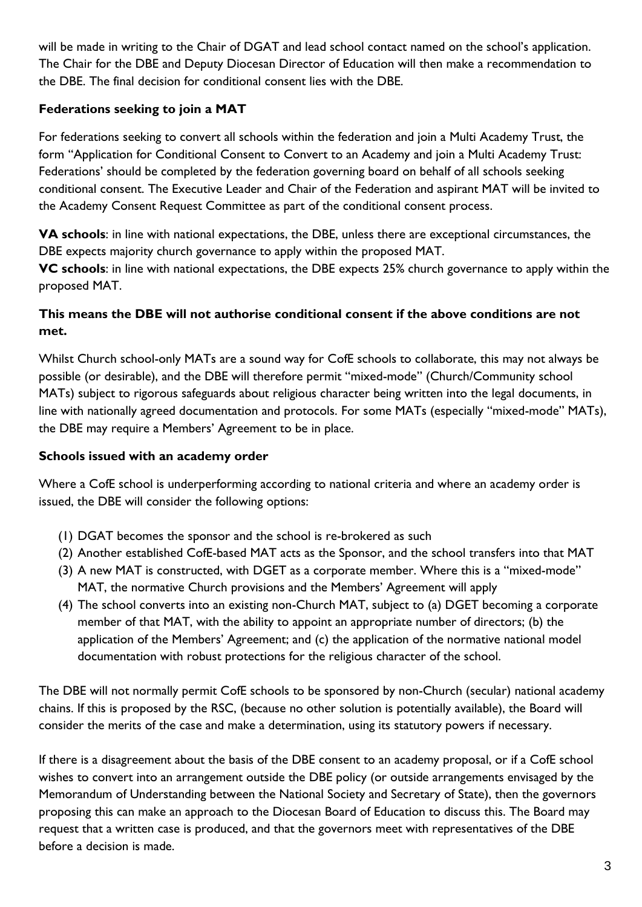will be made in writing to the Chair of DGAT and lead school contact named on the school's application. The Chair for the DBE and Deputy Diocesan Director of Education will then make a recommendation to the DBE. The final decision for conditional consent lies with the DBE.

## **Federations seeking to join a MAT**

For federations seeking to convert all schools within the federation and join a Multi Academy Trust, the form ''Application for Conditional Consent to Convert to an Academy and join a Multi Academy Trust: Federations' should be completed by the federation governing board on behalf of all schools seeking conditional consent. The Executive Leader and Chair of the Federation and aspirant MAT will be invited to the Academy Consent Request Committee as part of the conditional consent process.

**VA schools**: in line with national expectations, the DBE, unless there are exceptional circumstances, the DBE expects majority church governance to apply within the proposed MAT.

**VC schools**: in line with national expectations, the DBE expects 25% church governance to apply within the proposed MAT.

## **This means the DBE will not authorise conditional consent if the above conditions are not met.**

Whilst Church school-only MATs are a sound way for CofE schools to collaborate, this may not always be possible (or desirable), and the DBE will therefore permit "mixed-mode" (Church/Community school MATs) subject to rigorous safeguards about religious character being written into the legal documents, in line with nationally agreed documentation and protocols. For some MATs (especially "mixed-mode" MATs), the DBE may require a Members' Agreement to be in place.

### **Schools issued with an academy order**

Where a CofE school is underperforming according to national criteria and where an academy order is issued, the DBE will consider the following options:

- (1) DGAT becomes the sponsor and the school is re-brokered as such
- (2) Another established CofE-based MAT acts as the Sponsor, and the school transfers into that MAT
- (3) A new MAT is constructed, with DGET as a corporate member. Where this is a "mixed-mode" MAT, the normative Church provisions and the Members' Agreement will apply
- (4) The school converts into an existing non-Church MAT, subject to (a) DGET becoming a corporate member of that MAT, with the ability to appoint an appropriate number of directors; (b) the application of the Members' Agreement; and (c) the application of the normative national model documentation with robust protections for the religious character of the school.

The DBE will not normally permit CofE schools to be sponsored by non-Church (secular) national academy chains. If this is proposed by the RSC, (because no other solution is potentially available), the Board will consider the merits of the case and make a determination, using its statutory powers if necessary.

If there is a disagreement about the basis of the DBE consent to an academy proposal, or if a CofE school wishes to convert into an arrangement outside the DBE policy (or outside arrangements envisaged by the Memorandum of Understanding between the National Society and Secretary of State), then the governors proposing this can make an approach to the Diocesan Board of Education to discuss this. The Board may request that a written case is produced, and that the governors meet with representatives of the DBE before a decision is made.